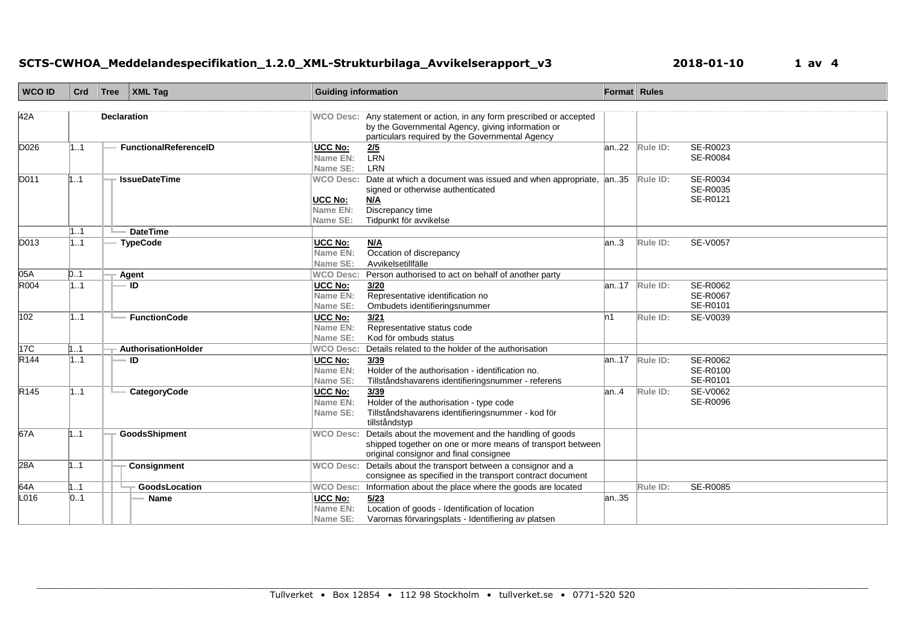| <b>WCO ID</b>    | Crd      | Tree | $\vert$ XML Tag                    | <b>Guiding information</b>                          |                                                                                                                                                                 | Format Rules |          |                                         |
|------------------|----------|------|------------------------------------|-----------------------------------------------------|-----------------------------------------------------------------------------------------------------------------------------------------------------------------|--------------|----------|-----------------------------------------|
| 42A              |          |      | <b>Declaration</b>                 |                                                     | WCO Desc: Any statement or action, in any form prescribed or accepted<br>by the Governmental Agency, giving information or                                      |              |          |                                         |
| D026             | 11       |      | <b>FunctionalReferenceID</b>       | <b>UCC No:</b><br>Name EN:<br>Name SE:              | particulars required by the Governmental Agency<br>$\frac{2/5}{LRN}$<br>LRN                                                                                     | an22         | Rule ID: | SE-R0023<br><b>SE-R0084</b>             |
| D011             | 11       |      | <b>IssueDateTime</b>               | <b>WCO Desc:</b><br>UCC No:<br>Name EN:<br>Name SE: | Date at which a document was issued and when appropriate, an35<br>signed or otherwise authenticated<br><u>N/A</u><br>Discrepancy time<br>Tidpunkt för avvikelse |              | Rule ID: | SE-R0034<br>SE-R0035<br>SE-R0121        |
| D013             | 11<br>11 |      | <b>DateTime</b><br><b>TypeCode</b> | UCC No:<br>Name EN:<br>Name SE:                     | M/A<br>Occation of discrepancy<br>Avvikelsetillfälle                                                                                                            | lan…3        | Rule ID: | <b>SE-V0057</b>                         |
| 05A              | 0.1      |      | Agent                              | <b>WCO Desc:</b>                                    | Person authorised to act on behalf of another party                                                                                                             |              |          |                                         |
| R004             | 11       |      | ID                                 | UCC No:<br>Name EN:<br>Name SE:                     | 3/20<br>Representative identification no<br>Ombudets identifieringsnummer                                                                                       | an17         | Rule ID: | SE-R0062<br><b>SE-R0067</b><br>SE-R0101 |
| 102              | 11       |      | <b>FunctionCode</b>                | UCC No:<br>Name EN:<br>Name SE:                     | 3/21<br>Representative status code<br>Kod för ombuds status                                                                                                     | 'n1          | Rule ID: | SE-V0039                                |
| 17 <sup>C</sup>  | 1.1      |      | AuthorisationHolder                | <b>WCO Desc:</b>                                    | Details related to the holder of the authorisation                                                                                                              |              |          |                                         |
| R <sub>144</sub> | 11       |      | ID                                 | UCC No:<br>Name EN:<br>Name SE:                     | 3/39<br>Holder of the authorisation - identification no.<br>Tillståndshavarens identifieringsnummer - referens                                                  | an17         | Rule ID: | SE-R0062<br>SE-R0100<br>SE-R0101        |
| R145             | 11       |      | CategoryCode                       | UCC No:<br>Name EN:<br>Name SE:                     | 3/39<br>Holder of the authorisation - type code<br>Tillståndshavarens identifieringsnummer - kod för<br>tillståndstyp                                           | lan4         | Rule ID: | SE-V0062<br>SE-R0096                    |
| 67A              | 11       |      | <b>GoodsShipment</b>               | <b>WCO Desc:</b>                                    | Details about the movement and the handling of goods<br>shipped together on one or more means of transport between<br>original consignor and final consignee    |              |          |                                         |
| 28A              | 11       |      | Consignment                        | <b>WCO Desc:</b>                                    | Details about the transport between a consignor and a<br>consignee as specified in the transport contract document                                              |              |          |                                         |
| 64A              | 1.1      |      | GoodsLocation                      |                                                     | WCO Desc: Information about the place where the goods are located                                                                                               |              | Rule ID: | SE-R0085                                |
| L016             | 01       |      | <b>Name</b>                        | <b>UCC No:</b><br>Name EN:<br>Name SE:              | 5/23<br>Location of goods - Identification of location<br>Varornas förvaringsplats - Identifiering av platsen                                                   | an.35        |          |                                         |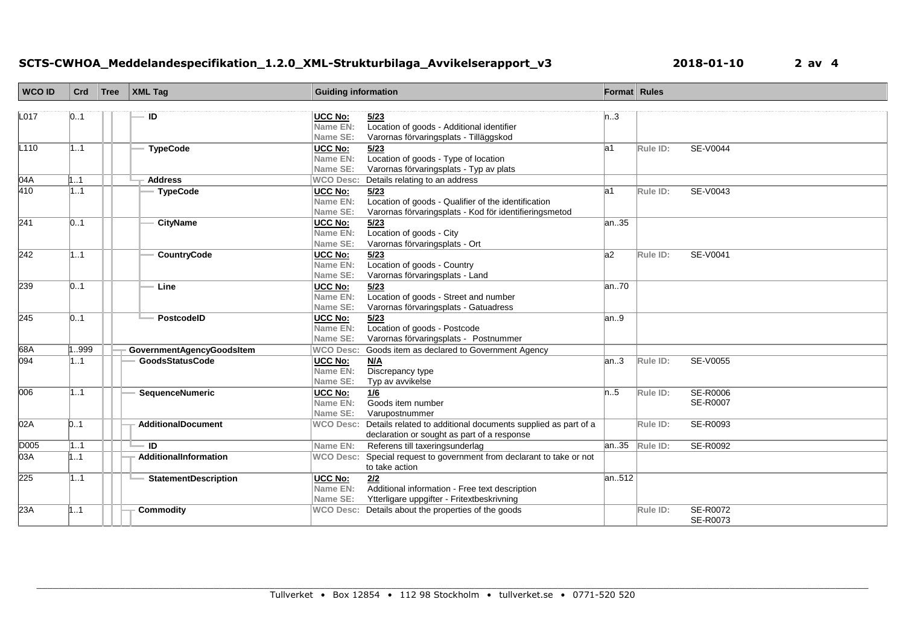## **SCTS-CWHOA\_Meddelandespecifikation\_1.2.0\_XML-Strukturbilaga\_Avvikelserapport\_v3 2018-01-10 2 av 4**

| <b>WCO ID</b> | Crd | Tree | XML Tag                     | <b>Guiding information</b> |                                                                                 | Format Rules |          |                 |
|---------------|-----|------|-----------------------------|----------------------------|---------------------------------------------------------------------------------|--------------|----------|-----------------|
|               |     |      |                             |                            |                                                                                 |              |          |                 |
| L017          | 01  |      | ID                          | UCC No:                    | 5/23                                                                            | n.3          |          |                 |
|               |     |      |                             | Name EN:                   | Location of goods - Additional identifier                                       |              |          |                 |
|               |     |      |                             | Name SE:                   | Varornas förvaringsplats - Tilläggskod                                          |              |          |                 |
| L110          | 11  |      | <b>TypeCode</b>             | <b>UCC No:</b><br>Name EN: | 5/23                                                                            | la1          | Rule ID: | SE-V0044        |
|               |     |      |                             | Name SE:                   | Location of goods - Type of location<br>Varornas förvaringsplats - Typ av plats |              |          |                 |
| 04A           | 11  |      | <b>Address</b>              | <b>WCO Desc:</b>           | Details relating to an address                                                  |              |          |                 |
| 410           | 11  |      | <b>TypeCode</b>             | UCC No:                    | 5/23                                                                            | la1          | Rule ID: | SE-V0043        |
|               |     |      |                             | Name EN:                   | Location of goods - Qualifier of the identification                             |              |          |                 |
|               |     |      |                             | Name SE:                   | Varornas förvaringsplats - Kod för identifieringsmetod                          |              |          |                 |
| 241           | 01  |      | <b>CityName</b>             | <b>UCC No:</b>             | 5/23                                                                            | an35         |          |                 |
|               |     |      |                             | Name EN:                   | Location of goods - City                                                        |              |          |                 |
|               |     |      |                             | Name SE:                   | Varornas förvaringsplats - Ort                                                  |              |          |                 |
| 242           | 11  |      | <b>CountryCode</b>          | UCC No:                    | 5/23                                                                            | a2           | Rule ID: | SE-V0041        |
|               |     |      |                             | Name EN:                   | Location of goods - Country                                                     |              |          |                 |
|               |     |      |                             | Name SE:                   | Varornas förvaringsplats - Land                                                 |              |          |                 |
| 239           | 01  |      | Line                        | <b>UCC No:</b>             | 5/23                                                                            | an70         |          |                 |
|               |     |      |                             | <b>Name EN:</b>            | Location of goods - Street and number                                           |              |          |                 |
|               |     |      |                             | Name SE:                   | Varornas förvaringsplats - Gatuadress                                           |              |          |                 |
| 245           | 01  |      | PostcodelD                  | UCC No:                    | 5/23                                                                            | an.9         |          |                 |
|               |     |      |                             | Name EN:                   | Location of goods - Postcode                                                    |              |          |                 |
|               |     |      |                             | Name SE:                   | Varornas förvaringsplats - Postnummer                                           |              |          |                 |
| 68A           | 999 |      | GovernmentAgencyGoodsItem   | <b>WCO Desc:</b>           | Goods item as declared to Government Agency                                     |              |          |                 |
| 094           | 11  |      | <b>GoodsStatusCode</b>      | UCC No:                    | N/A                                                                             | an.3         | Rule ID: | SE-V0055        |
|               |     |      |                             | Name EN:                   | Discrepancy type                                                                |              |          |                 |
|               |     |      |                             | Name SE:                   | Typ av avvikelse                                                                |              |          |                 |
| 006           | 11  |      | SequenceNumeric             | <b>UCC No:</b>             | 1/6                                                                             | n.5          | Rule ID: | SE-R0006        |
|               |     |      |                             | Name EN:                   | Goods item number                                                               |              |          | <b>SE-R0007</b> |
|               |     |      |                             | Name SE:                   | Varupostnummer                                                                  |              |          |                 |
| 02A           | 01  |      | <b>AdditionalDocument</b>   |                            | WCO Desc: Details related to additional documents supplied as part of a         |              | Rule ID: | SE-R0093        |
|               |     |      |                             |                            | declaration or sought as part of a response                                     |              |          |                 |
| D005          | 11  |      | · ID                        | Name EN:                   | Referens till taxeringsunderlag                                                 | lan35        | Rule ID: | SE-R0092        |
| 03A           | 11  |      | AdditionalInformation       | <b>WCO Desc:</b>           | Special request to government from declarant to take or not                     |              |          |                 |
|               |     |      |                             |                            | to take action                                                                  |              |          |                 |
| 225           | 11  |      | <b>StatementDescription</b> | <b>UCC No:</b>             | 2/2                                                                             | an512        |          |                 |
|               |     |      |                             | Name EN:                   | Additional information - Free text description                                  |              |          |                 |
|               |     |      |                             | Name SE:                   | Ytterligare uppgifter - Fritextbeskrivning                                      |              |          |                 |
| 23A           | 11  |      | Commodity                   |                            | WCO Desc: Details about the properties of the goods                             |              | Rule ID: | <b>SE-R0072</b> |
|               |     |      |                             |                            |                                                                                 |              |          | SE-R0073        |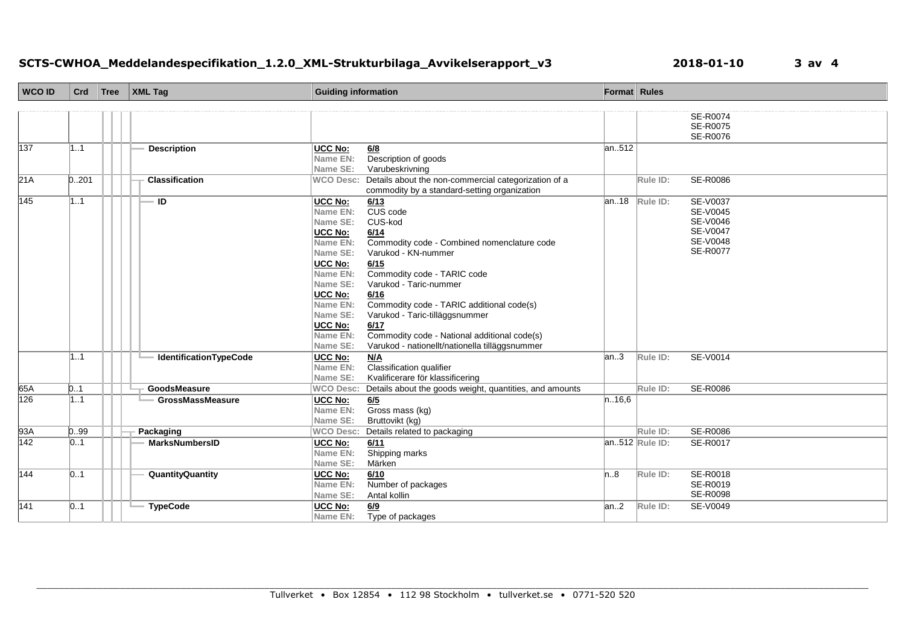## **SCTS-CWHOA\_Meddelandespecifikation\_1.2.0\_XML-Strukturbilaga\_Avvikelserapport\_v3 2018-01-10 3 av 4**

| <b>WCO ID</b> | Crd   | Tree | $\vert$ XML Tag               | <b>Guiding information</b> |                                                         | Format Rules |                |                      |
|---------------|-------|------|-------------------------------|----------------------------|---------------------------------------------------------|--------------|----------------|----------------------|
|               |       |      |                               |                            |                                                         |              |                |                      |
|               |       |      |                               |                            |                                                         |              |                | <b>SE-R0074</b>      |
|               |       |      |                               |                            |                                                         |              |                | SE-R0075<br>SE-R0076 |
| 137           | 11    |      | <b>Description</b>            | UCC No:                    |                                                         | an512        |                |                      |
|               |       |      |                               | Name EN:                   | 6/8<br>Description of goods                             |              |                |                      |
|               |       |      |                               | Name SE:                   | Varubeskrivning                                         |              |                |                      |
| 21A           | 0.201 |      | <b>Classification</b>         | <b>WCO Desc:</b>           | Details about the non-commercial categorization of a    |              | Rule ID:       | SE-R0086             |
|               |       |      |                               |                            | commodity by a standard-setting organization            |              |                |                      |
| 145           | 11    |      | ID                            | UCC No:                    | 6/13                                                    | an.18        | Rule ID:       | SE-V0037             |
|               |       |      |                               | Name EN:                   | CUS code                                                |              |                | SE-V0045             |
|               |       |      |                               | Name SE:                   | CUS-kod                                                 |              |                | SE-V0046             |
|               |       |      |                               | <b>UCC No:</b>             | 6/14                                                    |              |                | <b>SE-V0047</b>      |
|               |       |      |                               | Name EN:                   | Commodity code - Combined nomenclature code             |              |                | SE-V0048             |
|               |       |      |                               | Name SE:                   | Varukod - KN-nummer                                     |              |                | SE-R0077             |
|               |       |      |                               | UCC No:                    | 6/15                                                    |              |                |                      |
|               |       |      |                               | Name EN:                   | Commodity code - TARIC code                             |              |                |                      |
|               |       |      |                               | Name SE:                   | Varukod - Taric-nummer                                  |              |                |                      |
|               |       |      |                               | UCC No:                    | 6/16                                                    |              |                |                      |
|               |       |      |                               | Name EN:                   | Commodity code - TARIC additional code(s)               |              |                |                      |
|               |       |      |                               | Name SE:                   | Varukod - Taric-tilläggsnummer                          |              |                |                      |
|               |       |      |                               | <b>UCC No:</b>             | 6/17                                                    |              |                |                      |
|               |       |      |                               | Name EN:                   | Commodity code - National additional code(s)            |              |                |                      |
|               |       |      |                               | Name SE:                   | Varukod - nationellt/nationella tilläggsnummer          |              |                |                      |
|               | 11    |      | <b>IdentificationTypeCode</b> | <b>UCC No:</b>             | N/A                                                     | an.3         | Rule ID:       | SE-V0014             |
|               |       |      |                               | Name EN:<br>Name SE:       | Classification qualifier                                |              |                |                      |
| 65A           | 0.1   |      | GoodsMeasure                  |                            | Kvalificerare för klassificering                        |              | Rule ID:       |                      |
| 126           |       |      |                               | <b>WCO Desc:</b>           | Details about the goods weight, quantities, and amounts |              |                | SE-R0086             |
|               | 1.1   |      | <b>GrossMassMeasure</b>       | UCC No:<br>Name EN:        | 6/5<br>Gross mass (kg)                                  | n.16,6       |                |                      |
|               |       |      |                               | Name SE:                   | Bruttovikt (kg)                                         |              |                |                      |
| 93A           | 0.99  |      | Packaging                     | <b>WCO Desc:</b>           | Details related to packaging                            |              | Rule ID:       | SE-R0086             |
| 142           | 01    |      | <b>MarksNumbersID</b>         | UCC No:                    | 6/11                                                    |              | an512 Rule ID: | SE-R0017             |
|               |       |      |                               | Name EN:                   | Shipping marks                                          |              |                |                      |
|               |       |      |                               | Name SE:                   | Märken                                                  |              |                |                      |
| 144           | 01    |      | QuantityQuantity              | UCC No:                    | 6/10                                                    | n.8          | Rule ID:       | SE-R0018             |
|               |       |      |                               | Name EN:                   | Number of packages                                      |              |                | SE-R0019             |
|               |       |      |                               | Name SE:                   | Antal kollin                                            |              |                | SE-R0098             |
| 141           | 01    |      | <b>TypeCode</b>               | UCC No:                    | 6/9                                                     | an.2         | Rule ID:       | SE-V0049             |
|               |       |      |                               | Name EN:                   | Type of packages                                        |              |                |                      |